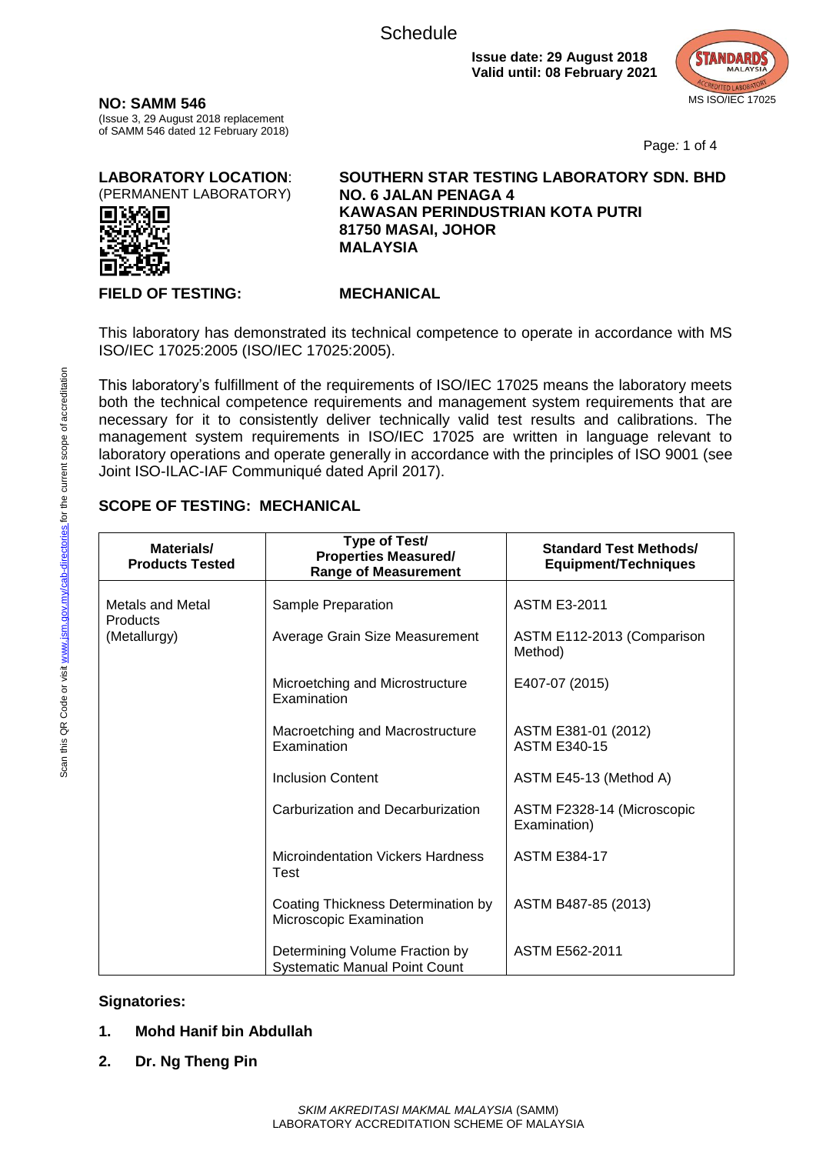

**NO: SAMM 546** (Issue 3, 29 August 2018 replacement of SAMM 546 dated 12 February 2018)

Page*:* 1 of 4

**LABORATORY LOCATION**: (PERMANENT LABORATORY)



**SOUTHERN STAR TESTING LABORATORY SDN. BHD NO. 6 JALAN PENAGA 4 KAWASAN PERINDUSTRIAN KOTA PUTRI 81750 MASAI, JOHOR MALAYSIA**

#### **FIELD OF TESTING: MECHANICAL**

This laboratory has demonstrated its technical competence to operate in accordance with MS ISO/IEC 17025:2005 (ISO/IEC 17025:2005).

This laboratory's fulfillment of the requirements of ISO/IEC 17025 means the laboratory meets both the technical competence requirements and management system requirements that are necessary for it to consistently deliver technically valid test results and calibrations. The management system requirements in ISO/IEC 17025 are written in language relevant to laboratory operations and operate generally in accordance with the principles of ISO 9001 (see Joint ISO-ILAC-IAF Communiqué dated April 2017).

### **SCOPE OF TESTING: MECHANICAL**

| Materials/<br><b>Products Tested</b> | Type of Test/<br><b>Properties Measured/</b><br><b>Range of Measurement</b> | <b>Standard Test Methods/</b><br><b>Equipment/Techniques</b> |
|--------------------------------------|-----------------------------------------------------------------------------|--------------------------------------------------------------|
| Metals and Metal<br>Products         | Sample Preparation                                                          | <b>ASTM E3-2011</b>                                          |
| (Metallurgy)                         | Average Grain Size Measurement                                              | ASTM E112-2013 (Comparison<br>Method)                        |
|                                      | Microetching and Microstructure<br>Examination                              | E407-07 (2015)                                               |
|                                      | Macroetching and Macrostructure<br>Examination                              | ASTM E381-01 (2012)<br><b>ASTM E340-15</b>                   |
|                                      | <b>Inclusion Content</b>                                                    | ASTM E45-13 (Method A)                                       |
|                                      | Carburization and Decarburization                                           | ASTM F2328-14 (Microscopic<br>Examination)                   |
|                                      | <b>Microindentation Vickers Hardness</b><br>Test                            | <b>ASTM E384-17</b>                                          |
|                                      | Coating Thickness Determination by<br>Microscopic Examination               | ASTM B487-85 (2013)                                          |
|                                      | Determining Volume Fraction by<br><b>Systematic Manual Point Count</b>      | ASTM E562-2011                                               |

### **Signatories:**

- **1. Mohd Hanif bin Abdullah**
- **2. Dr. Ng Theng Pin**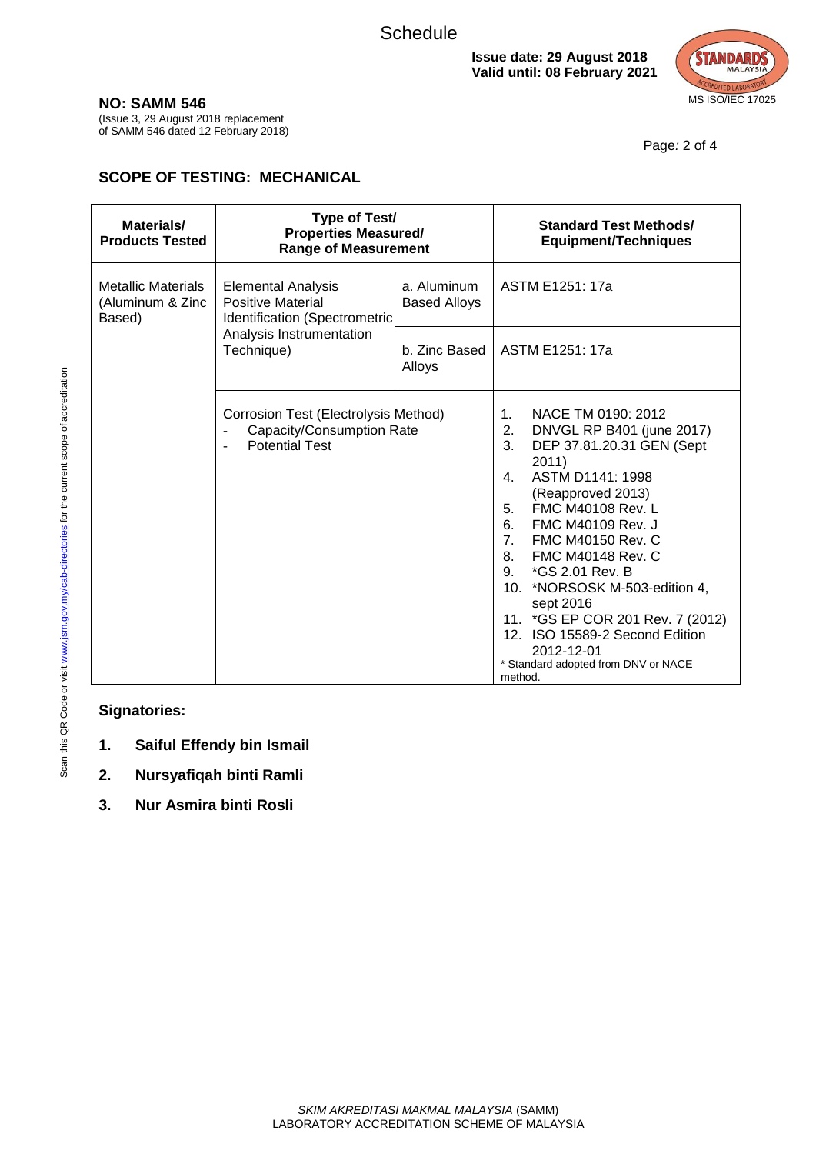

Page*:* 2 of 4

**NO: SAMM 546**

(Issue 3, 29 August 2018 replacement of SAMM 546 dated 12 February 2018)

## **SCOPE OF TESTING: MECHANICAL**

| Materials/<br><b>Products Tested</b>                    | Type of Test/<br><b>Properties Measured/</b><br><b>Range of Measurement</b>                                                      |                                    | <b>Standard Test Methods/</b><br><b>Equipment/Techniques</b>                                                                                                                                                                                                                                                                                                                                                                                                                                                            |
|---------------------------------------------------------|----------------------------------------------------------------------------------------------------------------------------------|------------------------------------|-------------------------------------------------------------------------------------------------------------------------------------------------------------------------------------------------------------------------------------------------------------------------------------------------------------------------------------------------------------------------------------------------------------------------------------------------------------------------------------------------------------------------|
| <b>Metallic Materials</b><br>(Aluminum & Zinc<br>Based) | <b>Elemental Analysis</b><br><b>Positive Material</b><br>Identification (Spectrometric<br>Analysis Instrumentation<br>Technique) | a. Aluminum<br><b>Based Alloys</b> | ASTM E1251: 17a                                                                                                                                                                                                                                                                                                                                                                                                                                                                                                         |
|                                                         |                                                                                                                                  | b. Zinc Based<br>Alloys            | ASTM E1251: 17a                                                                                                                                                                                                                                                                                                                                                                                                                                                                                                         |
|                                                         | Corrosion Test (Electrolysis Method)<br>Capacity/Consumption Rate<br><b>Potential Test</b>                                       |                                    | $\mathbf{1}$ .<br>NACE TM 0190: 2012<br>2.<br>DNVGL RP B401 (june 2017)<br>3.<br>DEP 37.81.20.31 GEN (Sept<br>2011)<br>ASTM D1141: 1998<br>$\mathbf{4}$ .<br>(Reapproved 2013)<br><b>FMC M40108 Rev. L</b><br>5.<br>6.<br>FMC M40109 Rev. J<br>7 <sub>1</sub><br>FMC M40150 Rev. C<br>8.<br>FMC M40148 Rev. C<br>9. *GS 2.01 Rev. B<br>10. *NORSOSK M-503-edition 4,<br>sept 2016<br>11. *GS EP COR 201 Rev. 7 (2012)<br>12. ISO 15589-2 Second Edition<br>2012-12-01<br>* Standard adopted from DNV or NACE<br>method. |

**Signatories:**

- **1. Saiful Effendy bin Ismail**
- **2. Nursyafiqah binti Ramli**
- **3. Nur Asmira binti Rosli**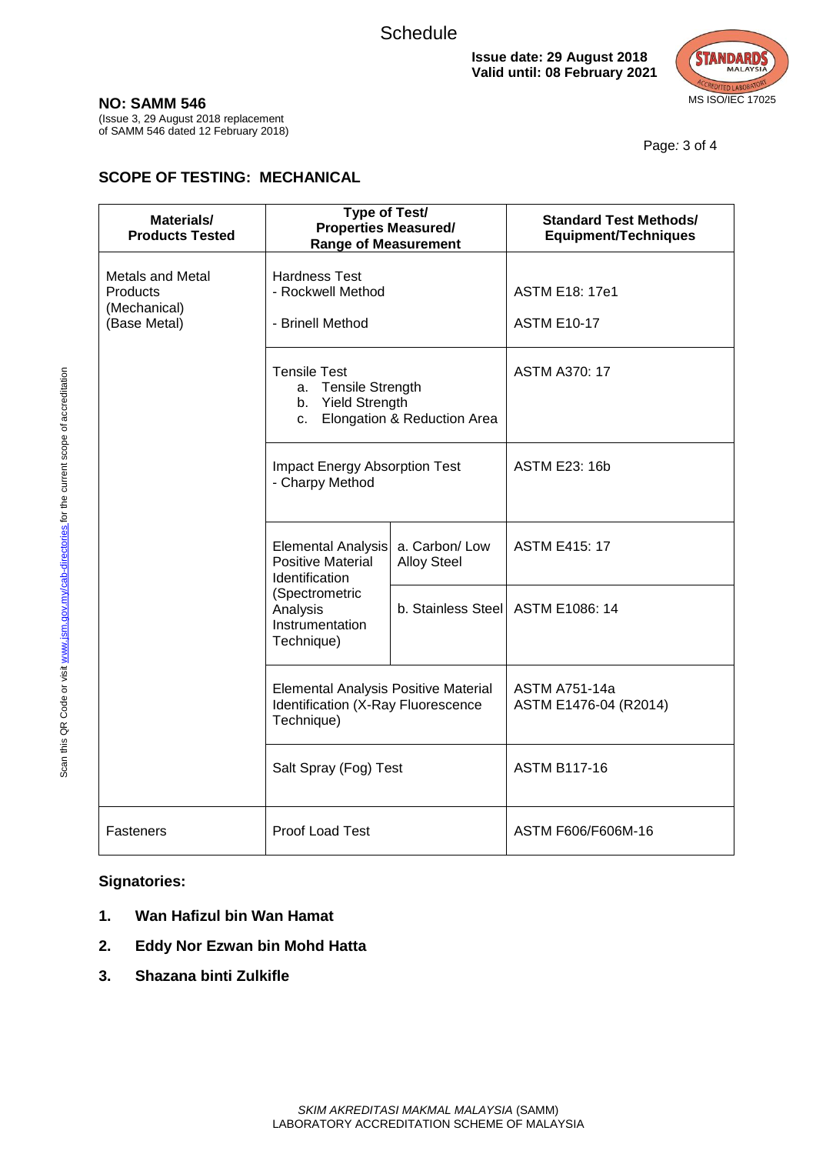

**NO: SAMM 546**

(Issue 3, 29 August 2018 replacement of SAMM 546 dated 12 February 2018)

Page*:* 3 of 4

# **SCOPE OF TESTING: MECHANICAL**

| Materials/<br><b>Products Tested</b>                         | <b>Type of Test/</b><br><b>Properties Measured/</b><br><b>Range of Measurement</b>                                              |                                     | <b>Standard Test Methods/</b><br><b>Equipment/Techniques</b> |
|--------------------------------------------------------------|---------------------------------------------------------------------------------------------------------------------------------|-------------------------------------|--------------------------------------------------------------|
| Metals and Metal<br>Products<br>(Mechanical)<br>(Base Metal) | <b>Hardness Test</b><br>- Rockwell Method<br>- Brinell Method                                                                   |                                     | <b>ASTM E18: 17e1</b><br><b>ASTM E10-17</b>                  |
|                                                              | <b>Tensile Test</b><br>a. Tensile Strength<br>b. Yield Strength<br>Elongation & Reduction Area<br>C.                            |                                     | <b>ASTM A370: 17</b>                                         |
|                                                              | <b>Impact Energy Absorption Test</b><br>- Charpy Method                                                                         |                                     | <b>ASTM E23: 16b</b>                                         |
|                                                              | Elemental Analysis<br><b>Positive Material</b><br>Identification<br>(Spectrometric<br>Analysis<br>Instrumentation<br>Technique) | a. Carbon/Low<br><b>Alloy Steel</b> | <b>ASTM E415: 17</b>                                         |
|                                                              |                                                                                                                                 | b. Stainless Steel   ASTM E1086: 14 |                                                              |
|                                                              | <b>Elemental Analysis Positive Material</b><br>Identification (X-Ray Fluorescence<br>Technique)                                 |                                     | <b>ASTM A751-14a</b><br>ASTM E1476-04 (R2014)                |
|                                                              | Salt Spray (Fog) Test                                                                                                           |                                     | <b>ASTM B117-16</b>                                          |
| Fasteners                                                    | Proof Load Test                                                                                                                 |                                     | ASTM F606/F606M-16                                           |

**Signatories:**

- **1. Wan Hafizul bin Wan Hamat**
- **2. Eddy Nor Ezwan bin Mohd Hatta**
- **3. Shazana binti Zulkifle**